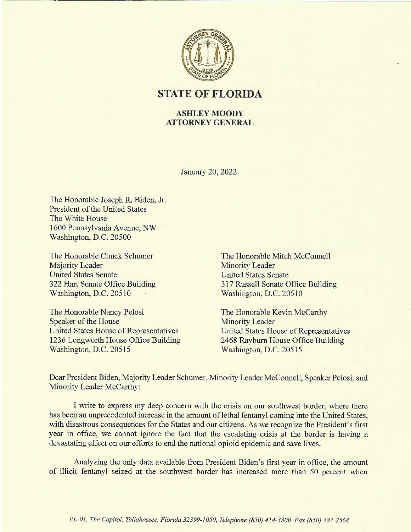

## **STATE OF FLORIDA**

## **ASHLEY MOODY ATTORNEY GENERAL**

January 20, 2022

The Honorable Joseph R. Biden, Jr. President of the United States The White House 1600 Pennsylvania Avenue, NW Washington, D.C. 20500

The Honorable Chuck Schumer Majority Leader United States Senate 322 Hart Senate Office Building Washington, D.C. 20510

The Honorable Nancy Pelosi Speaker of the House United States House of Representatives 1236 Longworth House Office Building Washington, D.C. 20515

The Honorable Mitch McConnell Minority Leader United States Senate 317 Russell Senate Office Building Washington, D.C. 20510

The Honorable Kevin McCarthy **Minority Leader** United States House of Representatives 2468 Rayburn House Office Building Washington, D.C. 20515

Dear President Biden, Majority Leader Schumer, Minority Leader McConnell, Speaker Pelosi, and Minority Leader McCarthy:

I write to express my deep concern with the crisis on our southwest border, where there has been an unprecedented increase in the amount of lethal fentanyl coming into the United States, with disastrous consequences for the States and our citizens. As we recognize the President's first year in office, we cannot ignore the fact that the escalating crisis at the border is having a devastating effect on our efforts to end the national opioid epidemic and save lives.

Analyzing the only data available from President Biden's first year in office, the amount of illicit fentanyl seized at the southwest border has increased more than 50 percent when